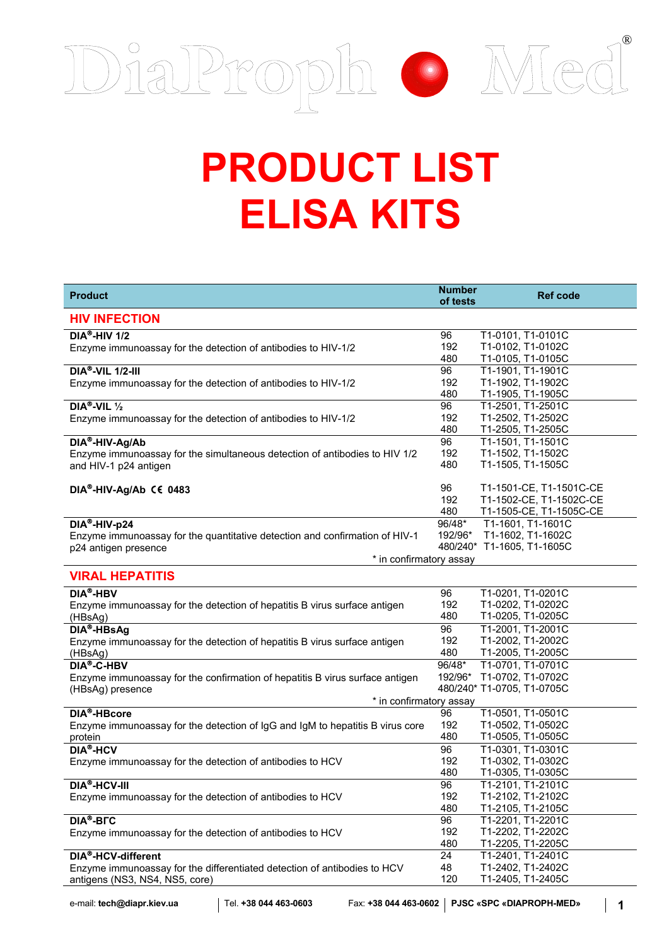

## **PRODUCT LIST ELISA KITS**

| <b>Product</b>                                                                                                                                 | <b>Number</b><br>of tests | <b>Ref code</b>                                                               |
|------------------------------------------------------------------------------------------------------------------------------------------------|---------------------------|-------------------------------------------------------------------------------|
| <b>HIV INFECTION</b>                                                                                                                           |                           |                                                                               |
| $DIA®-HIV1/2$<br>Enzyme immunoassay for the detection of antibodies to HIV-1/2                                                                 | 96<br>192<br>480          | T1-0101, T1-0101C<br>T1-0102, T1-0102C<br>T1-0105, T1-0105C                   |
| $\overline{DIA^{\otimes}}$ -VIL 1/2-III<br>Enzyme immunoassay for the detection of antibodies to HIV-1/2                                       | 96<br>192<br>480          | T1-1901, T1-1901C<br>T1-1902, T1-1902C<br>T1-1905, T1-1905C                   |
| DIA <sup>®</sup> -VIL $\frac{1}{2}$<br>Enzyme immunoassay for the detection of antibodies to HIV-1/2                                           | 96<br>192<br>480          | T1-2501, T1-2501C<br>T1-2502, T1-2502C<br>T1-2505, T1-2505C                   |
| DIA®-HIV-Ag/Ab<br>Enzyme immunoassay for the simultaneous detection of antibodies to HIV 1/2<br>and HIV-1 p24 antigen                          | 96<br>192<br>480          | T1-1501, T1-1501C<br>T1-1502, T1-1502C<br>T1-1505, T1-1505C                   |
| DIA®-HIV-Ag/Ab C€ 0483                                                                                                                         | 96<br>192<br>480          | T1-1501-CE, T1-1501C-CE<br>T1-1502-CE, T1-1502C-CE<br>T1-1505-CE, T1-1505C-CE |
| DIA®-HIV-p24<br>Enzyme immunoassay for the quantitative detection and confirmation of HIV-1<br>p24 antigen presence<br>* in confirmatory assay | 96/48*<br>192/96*         | T1-1601, T1-1601C<br>T1-1602, T1-1602C<br>480/240* T1-1605, T1-1605C          |
| <b>VIRAL HEPATITIS</b>                                                                                                                         |                           |                                                                               |
| DIA <sup>®</sup> -HBV<br>Enzyme immunoassay for the detection of hepatitis B virus surface antigen<br>(HBsAg)                                  | 96<br>192<br>480          | T1-0201, T1-0201C<br>T1-0202, T1-0202C<br>T1-0205, T1-0205C                   |
| DIA <sup>®</sup> -HBsAg<br>Enzyme immunoassay for the detection of hepatitis B virus surface antigen<br>(HBsAg)                                | 96<br>192<br>480          | T1-2001, T1-2001C<br>T1-2002, T1-2002C<br>T1-2005, T1-2005C                   |
| DIA®-C-HBV<br>Enzyme immunoassay for the confirmation of hepatitis B virus surface antigen<br>(HBsAg) presence                                 | 96/48*<br>192/96*         | T1-0701, T1-0701C<br>T1-0702, T1-0702C<br>480/240* T1-0705, T1-0705C          |
| * in confirmatory assay                                                                                                                        |                           |                                                                               |
| DIA <sup>®</sup> -HBcore<br>Enzyme immunoassay for the detection of IgG and IgM to hepatitis B virus core<br>protein                           | 96<br>192<br>480          | T1-0501, T1-0501C<br>T1-0502, T1-0502C<br>T1-0505, T1-0505C                   |
| <b>DIA®-HCV</b><br>Enzyme immunoassay for the detection of antibodies to HCV                                                                   | 96<br>192<br>480          | T1-0301, T1-0301C<br>T1-0302, T1-0302C<br>T1-0305, T1-0305C                   |
| DIA <sup>®</sup> -HCV-III<br>Enzyme immunoassay for the detection of antibodies to HCV                                                         | 96<br>192<br>480          | T1-2101, T1-2101C<br>T1-2102, T1-2102C<br>T1-2105, T1-2105C                   |
| DIA®-BFC<br>Enzyme immunoassay for the detection of antibodies to HCV                                                                          | 96<br>192<br>480          | T1-2201, T1-2201C<br>T1-2202, T1-2202C<br>T1-2205, T1-2205C                   |
| DIA <sup>®</sup> -HCV-different<br>Enzyme immunoassay for the differentiated detection of antibodies to HCV<br>antigens (NS3, NS4, NS5, core)  | 24<br>48<br>120           | T1-2401, T1-2401C<br>T1-2402, T1-2402C<br>T1-2405, T1-2405C                   |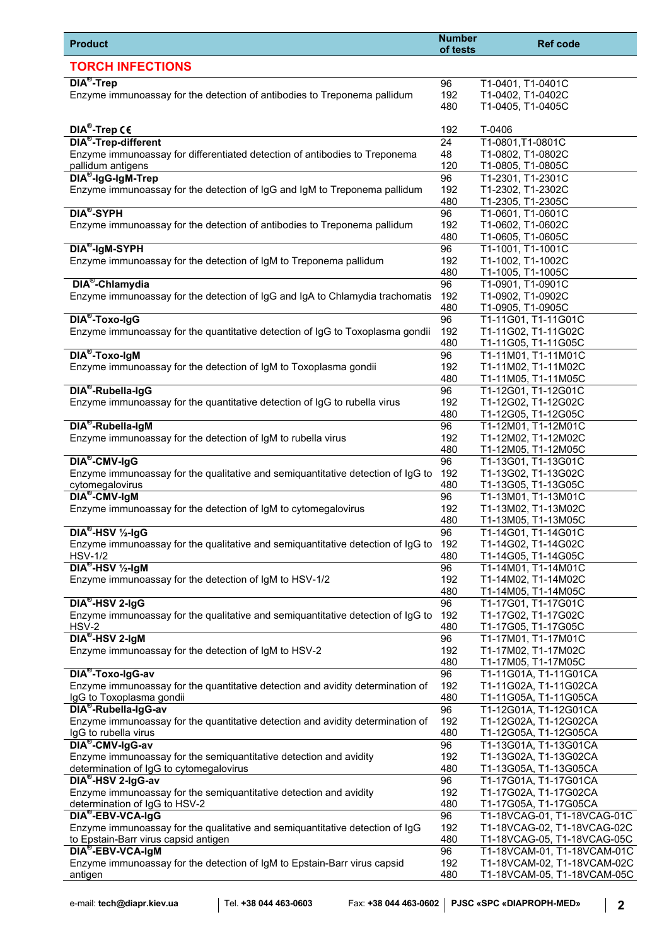| <b>Product</b>                                                                                                                                        | <b>Number</b><br>of tests     | <b>Ref code</b>                                                                           |
|-------------------------------------------------------------------------------------------------------------------------------------------------------|-------------------------------|-------------------------------------------------------------------------------------------|
| <b>TORCH INFECTIONS</b>                                                                                                                               |                               |                                                                                           |
| DIA <sup>®</sup> -Trep<br>Enzyme immunoassay for the detection of antibodies to Treponema pallidum                                                    | 96<br>192<br>480              | T1-0401, T1-0401C<br>T1-0402, T1-0402C<br>T1-0405, T1-0405C                               |
| DIA <sup>®</sup> -Trep C6                                                                                                                             | 192                           | T-0406                                                                                    |
| DIA <sup>®</sup> -Trep-different<br>Enzyme immunoassay for differentiated detection of antibodies to Treponema                                        | $\overline{24}$<br>48         | T1-0801,T1-0801C<br>T1-0802, T1-0802C                                                     |
| pallidum antigens<br>DIA <sup>®</sup> -IgG-IgM-Trep<br>Enzyme immunoassay for the detection of IgG and IgM to Treponema pallidum                      | 120<br>96<br>192              | T1-0805, T1-0805C<br>T1-2301, T1-2301C<br>T1-2302, T1-2302C                               |
| <b>DIA<sup>®</sup>-SYPH</b>                                                                                                                           | 480<br>96                     | T1-2305, T1-2305C                                                                         |
| Enzyme immunoassay for the detection of antibodies to Treponema pallidum                                                                              | 192<br>480                    | T1-0601, T1-0601C<br>T1-0602, T1-0602C<br>T1-0605, T1-0605C                               |
| DIA <sup>®</sup> -IgM-SYPH<br>Enzyme immunoassay for the detection of IgM to Treponema pallidum                                                       | 96<br>192<br>480              | T1-1001, T1-1001C<br>T1-1002, T1-1002C<br>T1-1005, T1-1005C                               |
| DIA <sup>®</sup> -Chlamydia<br>Enzyme immunoassay for the detection of IgG and IgA to Chlamydia trachomatis                                           | 96<br>192                     | T1-0901, T1-0901C<br>T1-0902, T1-0902C                                                    |
| DIA <sup>®</sup> -Toxo-IgG<br>Enzyme immunoassay for the quantitative detection of IgG to Toxoplasma gondii                                           | 480<br>$\overline{96}$<br>192 | T1-0905, T1-0905C<br>T1-11G01, T1-11G01C<br>T1-11G02, T1-11G02C                           |
| DIA <sup>®</sup> -Toxo-IgM                                                                                                                            | 480<br>96                     | T1-11G05, T1-11G05C<br>T1-11M01, T1-11M01C                                                |
| Enzyme immunoassay for the detection of IgM to Toxoplasma gondii<br>DIA <sup>®</sup> -Rubella-IgG                                                     | 192<br>480<br>96              | T1-11M02, T1-11M02C<br>T1-11M05, T1-11M05C<br>T1-12G01, T1-12G01C                         |
| Enzyme immunoassay for the quantitative detection of IgG to rubella virus                                                                             | 192<br>480                    | T1-12G02, T1-12G02C<br>T1-12G05, T1-12G05C                                                |
| DIA <sup>®</sup> -Rubella-IgM<br>Enzyme immunoassay for the detection of IgM to rubella virus                                                         | 96<br>192<br>480              | T1-12M01, T1-12M01C<br>T1-12M02, T1-12M02C<br>T1-12M05, T1-12M05C                         |
| DIA <sup>®</sup> -CMV-IgG<br>Enzyme immunoassay for the qualitative and semiquantitative detection of IgG to<br>cytomegalovirus                       | 96<br>192<br>480              | T1-13G01, T1-13G01C<br>T1-13G02, T1-13G02C<br>T1-13G05, T1-13G05C                         |
| DIA <sup>®</sup> -CMV-IgM<br>Enzyme immunoassay for the detection of IgM to cytomegalovirus                                                           | 96<br>192                     | T1-13M01, T1-13M01C<br>T1-13M02, T1-13M02C                                                |
| $DIA^{\otimes}-HSV \frac{1}{2}IqG$<br>Enzyme immunoassay for the qualitative and semiquantitative detection of IgG to                                 | 480<br>96<br>192              | T1-13M05, T1-13M05C<br>T1-14G01, T1-14G01C<br>T1-14G02, T1-14G02C                         |
| <b>HSV-1/2</b><br>$DIA^{\otimes}-HSV\frac{1}{2}$ -IgM                                                                                                 | 480<br>96                     | T1-14G05, T1-14G05C<br>T1-14M01, T1-14M01C                                                |
| Enzyme immunoassay for the detection of IgM to HSV-1/2<br>$DIA^{\otimes}$ -HSV 2-IgG                                                                  | 192<br>480<br>96              | T1-14M02, T1-14M02C<br>T1-14M05, T1-14M05C<br>T1-17G01, T1-17G01C                         |
| Enzyme immunoassay for the qualitative and semiquantitative detection of IgG to<br>HSV-2                                                              | 192<br>480                    | T1-17G02, T1-17G02C<br>T1-17G05, T1-17G05C                                                |
| DIA <sup>®</sup> -HSV 2-IgM<br>Enzyme immunoassay for the detection of IgM to HSV-2                                                                   | 96<br>192<br>480              | T1-17M01, T1-17M01C<br>T1-17M02, T1-17M02C<br>T1-17M05, T1-17M05C                         |
| DIA <sup>®</sup> -Toxo-IgG-av<br>Enzyme immunoassay for the quantitative detection and avidity determination of<br>IgG to Toxoplasma gondii           | 96<br>192<br>480              | T1-11G01A, T1-11G01CA<br>T1-11G02A, T1-11G02CA<br>T1-11G05A, T1-11G05CA                   |
| DIA <sup>®</sup> -Rubella-IgG-av<br>Enzyme immunoassay for the quantitative detection and avidity determination of                                    | 96<br>192                     | T1-12G01A, T1-12G01CA<br>T1-12G02A, T1-12G02CA                                            |
| IgG to rubella virus<br>DIA <sup>®</sup> -CMV-IgG-av                                                                                                  | 480<br>96                     | T1-12G05A, T1-12G05CA<br>T1-13G01A, T1-13G01CA                                            |
| Enzyme immunoassay for the semiquantitative detection and avidity<br>determination of IgG to cytomegalovirus                                          | 192<br>480                    | T1-13G02A, T1-13G02CA<br>T1-13G05A, T1-13G05CA                                            |
| DIA <sup>®</sup> -HSV 2-IgG-av<br>Enzyme immunoassay for the semiquantitative detection and avidity<br>determination of IgG to HSV-2                  | 96<br>192<br>480              | T1-17G01A, T1-17G01CA<br>T1-17G02A, T1-17G02CA<br>T1-17G05A, T1-17G05CA                   |
| DIA <sup>®</sup> -EBV-VCA-IgG<br>Enzyme immunoassay for the qualitative and semiquantitative detection of IgG<br>to Epstain-Barr virus capsid antigen | 96<br>192<br>480              | T1-18VCAG-01, T1-18VCAG-01C<br>T1-18VCAG-02, T1-18VCAG-02C<br>T1-18VCAG-05, T1-18VCAG-05C |
| DIA <sup>®</sup> -EBV-VCA-IgM<br>Enzyme immunoassay for the detection of IgM to Epstain-Barr virus capsid                                             | 96<br>192                     | T1-18VCAM-01, T1-18VCAM-01C<br>T1-18VCAM-02, T1-18VCAM-02C                                |
| antigen                                                                                                                                               | 480                           | T1-18VCAM-05, T1-18VCAM-05C                                                               |